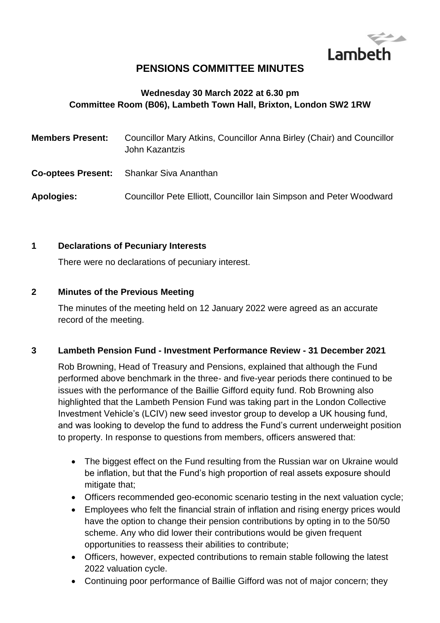

## **PENSIONS COMMITTEE MINUTES**

### **Wednesday 30 March 2022 at 6.30 pm Committee Room (B06), Lambeth Town Hall, Brixton, London SW2 1RW**

| <b>Members Present:</b> | Councillor Mary Atkins, Councillor Anna Birley (Chair) and Councillor<br>John Kazantzis |
|-------------------------|-----------------------------------------------------------------------------------------|
|                         | <b>Co-optees Present:</b> Shankar Siva Ananthan                                         |
| Apologies:              | Councillor Pete Elliott, Councillor Iain Simpson and Peter Woodward                     |

#### **1 Declarations of Pecuniary Interests**

There were no declarations of pecuniary interest.

#### **2 Minutes of the Previous Meeting**

The minutes of the meeting held on 12 January 2022 were agreed as an accurate record of the meeting.

#### **3 Lambeth Pension Fund - Investment Performance Review - 31 December 2021**

Rob Browning, Head of Treasury and Pensions, explained that although the Fund performed above benchmark in the three- and five-year periods there continued to be issues with the performance of the Baillie Gifford equity fund. Rob Browning also highlighted that the Lambeth Pension Fund was taking part in the London Collective Investment Vehicle's (LCIV) new seed investor group to develop a UK housing fund, and was looking to develop the fund to address the Fund's current underweight position to property. In response to questions from members, officers answered that:

- The biggest effect on the Fund resulting from the Russian war on Ukraine would be inflation, but that the Fund's high proportion of real assets exposure should mitigate that;
- Officers recommended geo-economic scenario testing in the next valuation cycle;
- Employees who felt the financial strain of inflation and rising energy prices would have the option to change their pension contributions by opting in to the 50/50 scheme. Any who did lower their contributions would be given frequent opportunities to reassess their abilities to contribute;
- Officers, however, expected contributions to remain stable following the latest 2022 valuation cycle.
- Continuing poor performance of Baillie Gifford was not of major concern; they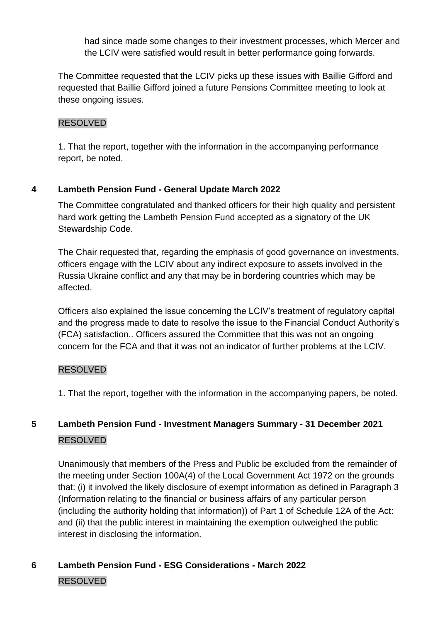had since made some changes to their investment processes, which Mercer and the LCIV were satisfied would result in better performance going forwards.

The Committee requested that the LCIV picks up these issues with Baillie Gifford and requested that Baillie Gifford joined a future Pensions Committee meeting to look at these ongoing issues.

### RESOLVED

1. That the report, together with the information in the accompanying performance report, be noted.

## **4 Lambeth Pension Fund - General Update March 2022**

The Committee congratulated and thanked officers for their high quality and persistent hard work getting the Lambeth Pension Fund accepted as a signatory of the UK Stewardship Code.

The Chair requested that, regarding the emphasis of good governance on investments, officers engage with the LCIV about any indirect exposure to assets involved in the Russia Ukraine conflict and any that may be in bordering countries which may be affected.

Officers also explained the issue concerning the LCIV's treatment of regulatory capital and the progress made to date to resolve the issue to the Financial Conduct Authority's (FCA) satisfaction.. Officers assured the Committee that this was not an ongoing concern for the FCA and that it was not an indicator of further problems at the LCIV.

## RESOLVED

1. That the report, together with the information in the accompanying papers, be noted.

# **5 Lambeth Pension Fund - Investment Managers Summary - 31 December 2021** RESOLVED

Unanimously that members of the Press and Public be excluded from the remainder of the meeting under Section 100A(4) of the Local Government Act 1972 on the grounds that: (i) it involved the likely disclosure of exempt information as defined in Paragraph 3 (Information relating to the financial or business affairs of any particular person (including the authority holding that information)) of Part 1 of Schedule 12A of the Act: and (ii) that the public interest in maintaining the exemption outweighed the public interest in disclosing the information.

# **6 Lambeth Pension Fund - ESG Considerations - March 2022** RESOLVED